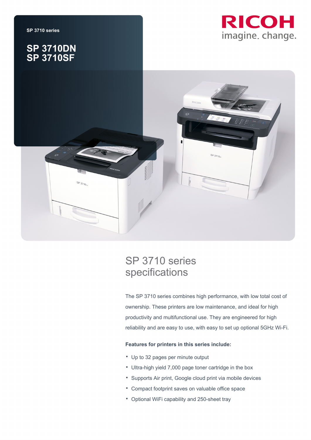

## **SP 3710DN SP 3710SF**





# SP 3710 series specifications

The SP 3710 series combines high performance, with low total cost of ownership. These printers are low maintenance, and ideal for high productivity and multifunctional use. They are engineered for high reliability and are easy to use, with easy to set up optional 5GHz Wi-Fi.

### **Features for printers in this series include:**

- Up to 32 pages per minute output
- Ultra-high yield 7,000 page toner cartridge in the box
- Supports Air print, Google cloud print via mobile devices
- Compact footprint saves on valuable office space
- Optional WiFi capability and 250-sheet tray